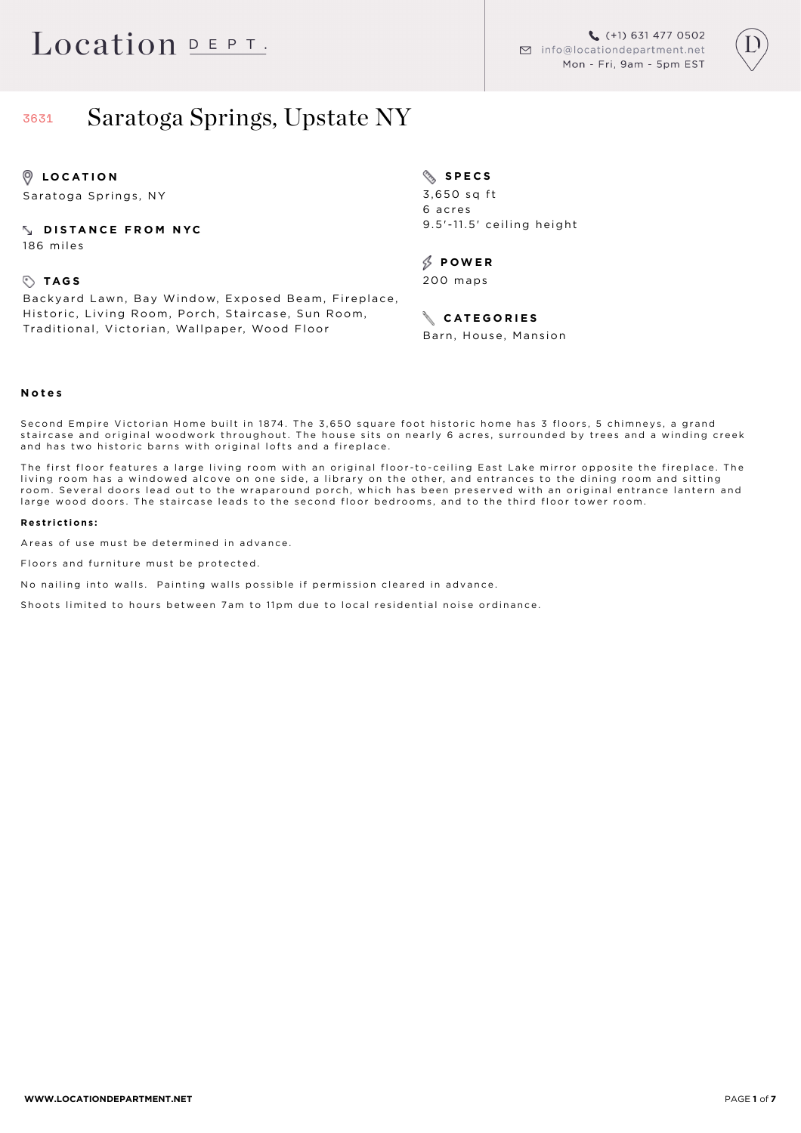#### <sup>3631</sup> Saratoga Springs, Upstate NY

**Q** LOCATION

Saratoga Springs, NY

**DISTANCE FROM NYC** 186 miles

*S* TAGS

Backyard Lawn, Bay Window, Exposed Beam, Fireplace, Historic, Living Room, Porch, Staircase, Sun Room, Traditional, Victorian, Wallpaper, Wood Floor

SPECS 3,650 sq ft 6 a c re s 9.5'-11.5' ceiling height

 $$POWER$ 200 maps

CATEGORIES Barn, House, Mansion

#### N o t e s

Second Empire Victorian Home built in 1874. The 3.650 square foot historic home has 3 floors. 5 chimneys, a grand staircase and original woodwork throughout. The house sits on nearly 6 acres, surrounded by trees and a winding creek and has two historic barns with original lofts and a fireplace.

The first floor features a large living room with an original floor-to-ceiling East Lake mirror opposite the fireplace. The living room has a windowed alcove on one side, a library on the other, and entrances to the dining room and sitting room. Several doors lead out to the wraparound porch, which has been preserved with an original entrance lantern and large wood doors. The staircase leads to the second floor bedrooms, and to the third floor tower room.

#### Restrictions:

Areas of use must be determined in advance.

Floors and furniture must be protected.

No nailing into walls. Painting walls possible if permission cleared in advance.

Shoots limited to hours between 7 am to 11 pm due to local residential noise ordinance.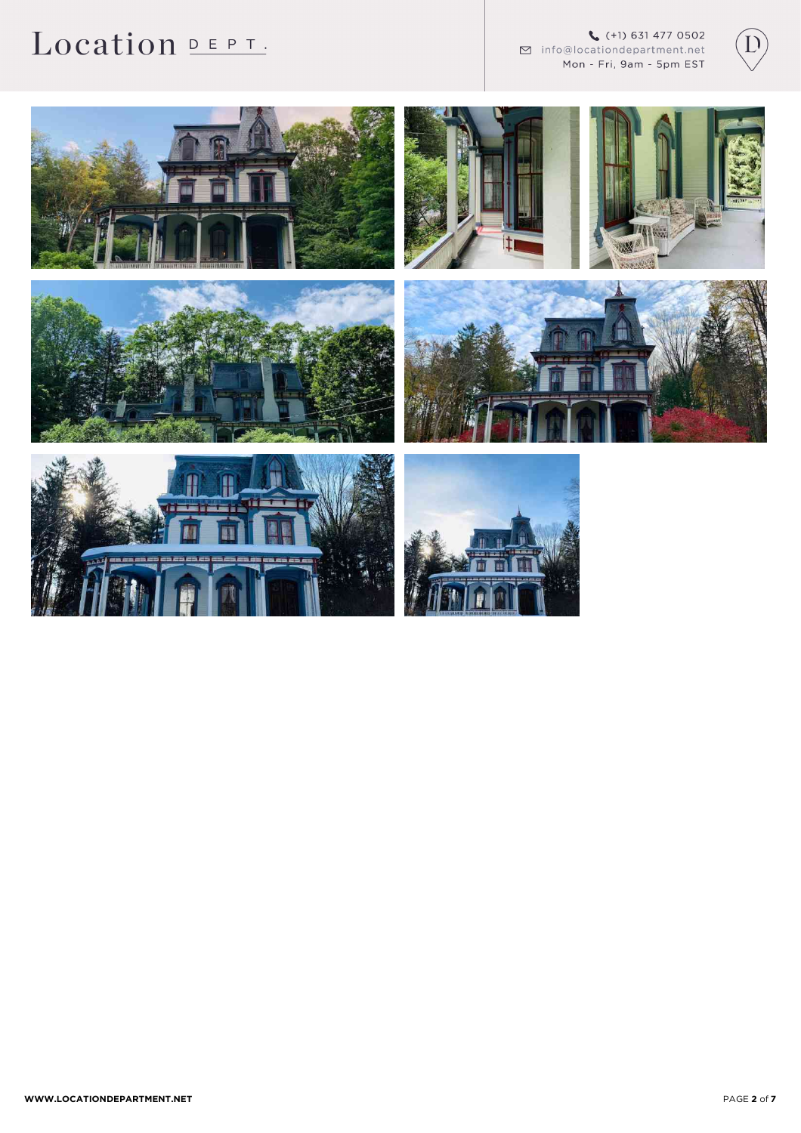$(+) 631 477 0502$ ◘ info@locationdepartment.net Mon - Fri, 9am - 5pm EST



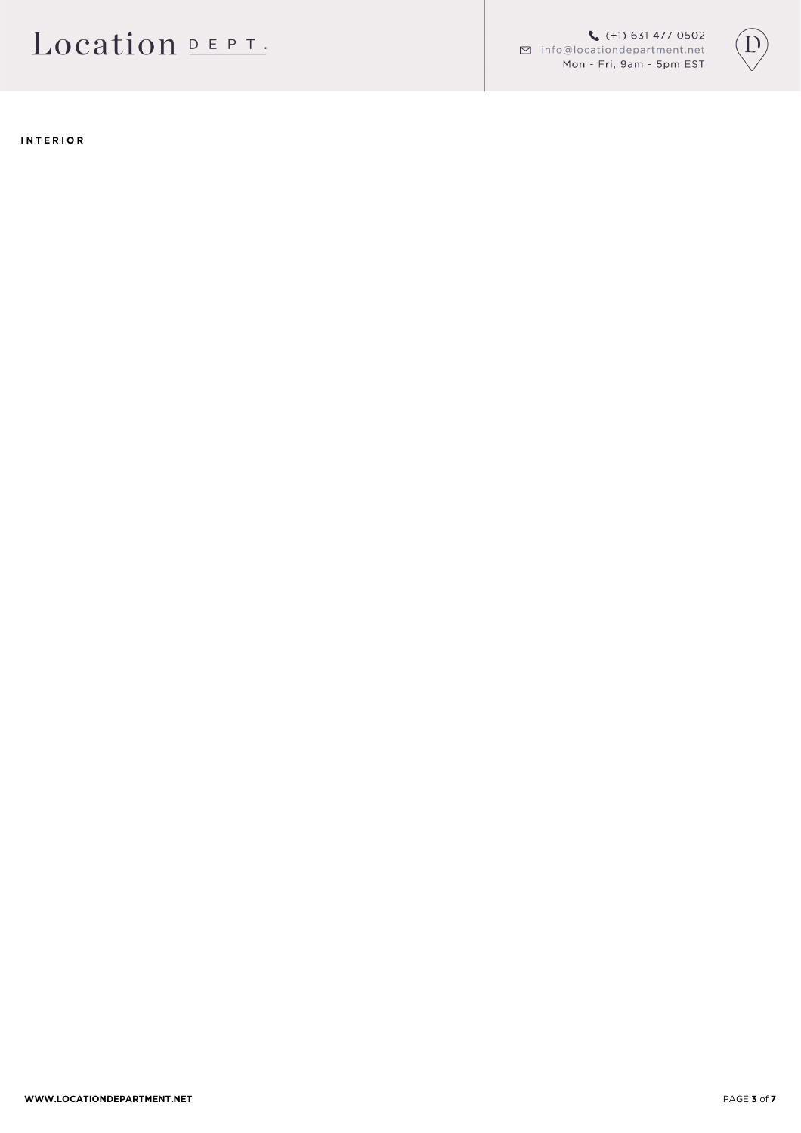$(+) 631 477 0502$ ◘ info@locationdepartment.net Mon - Fri, 9am - 5pm EST



I N T E R I O R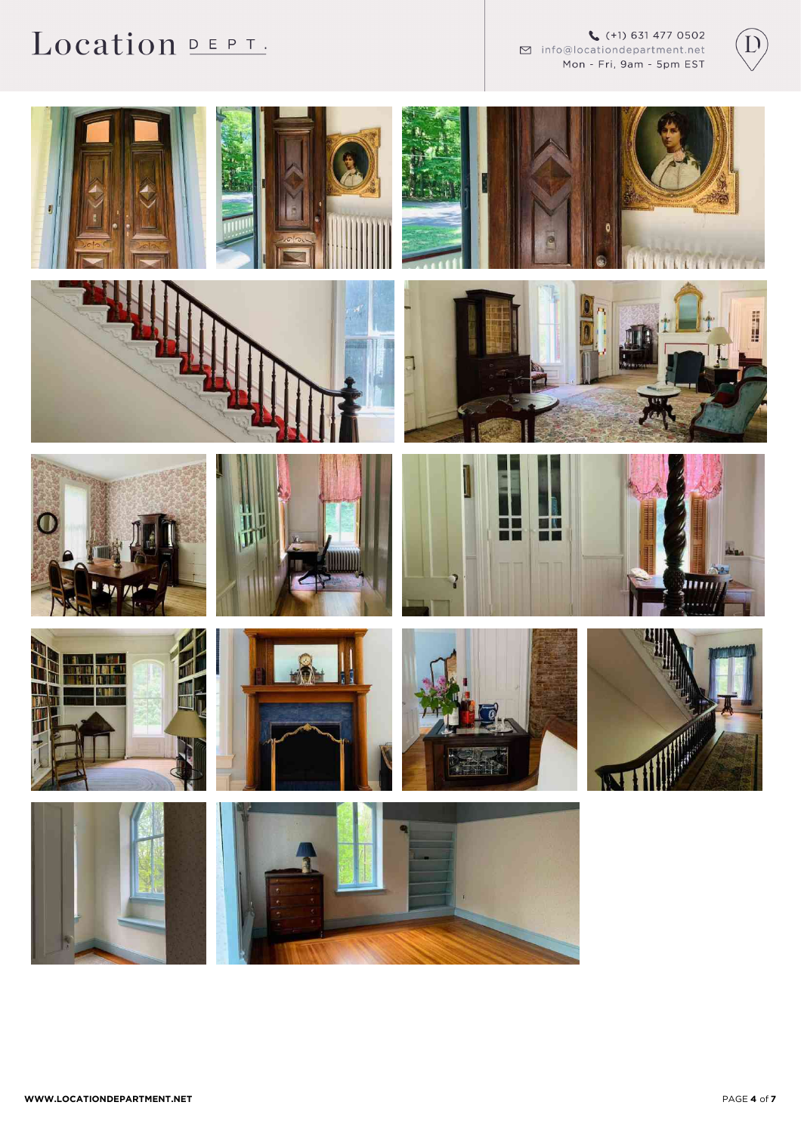$(+) 631 477 0502$ ◘ info@locationdepartment.net Mon - Fri, 9am - 5pm EST

 $\mathbf{D}$ 













**IIIII** 



WWW.LOCATIONDEPARTMENT.NET EXAMPLE THE SERVICE OF 7 AND RELEASED FOR SERVICE A SERVICE OF 7 PAGE 4 of 7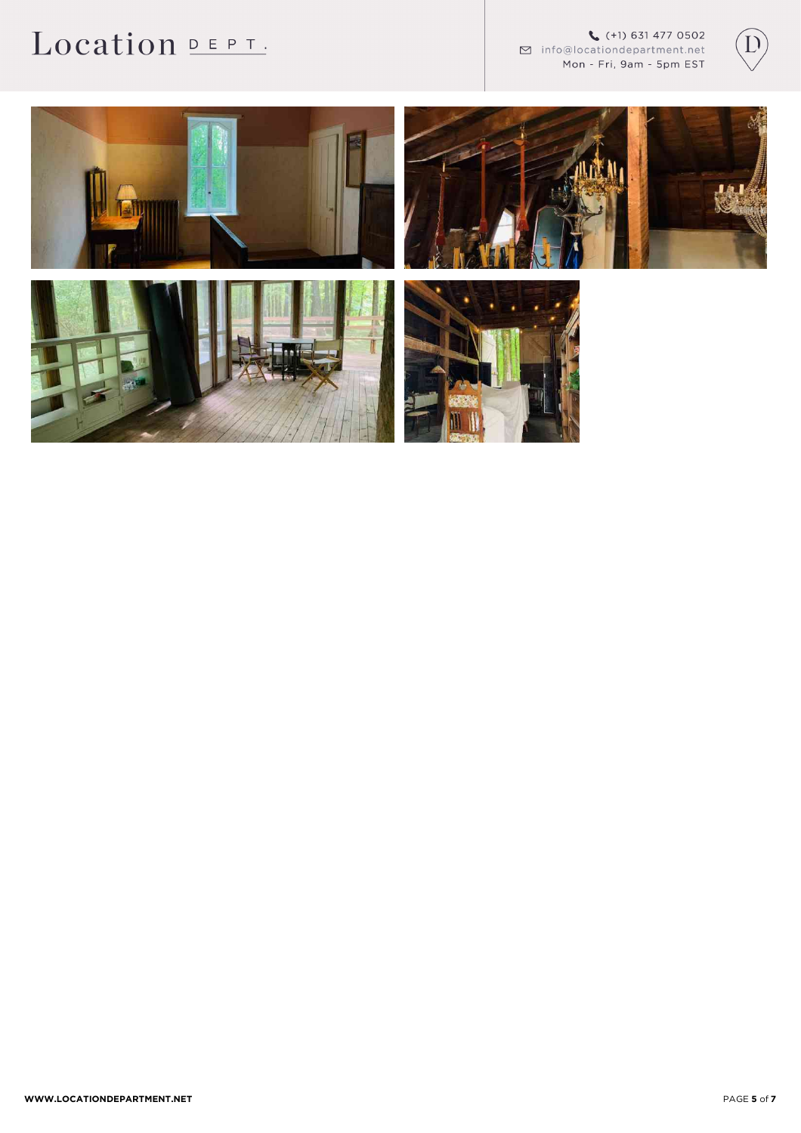$(+) 631 477 0502$ ◘ info@locationdepartment.net Mon - Fri, 9am - 5pm EST



 $\mathbf{D}$ 

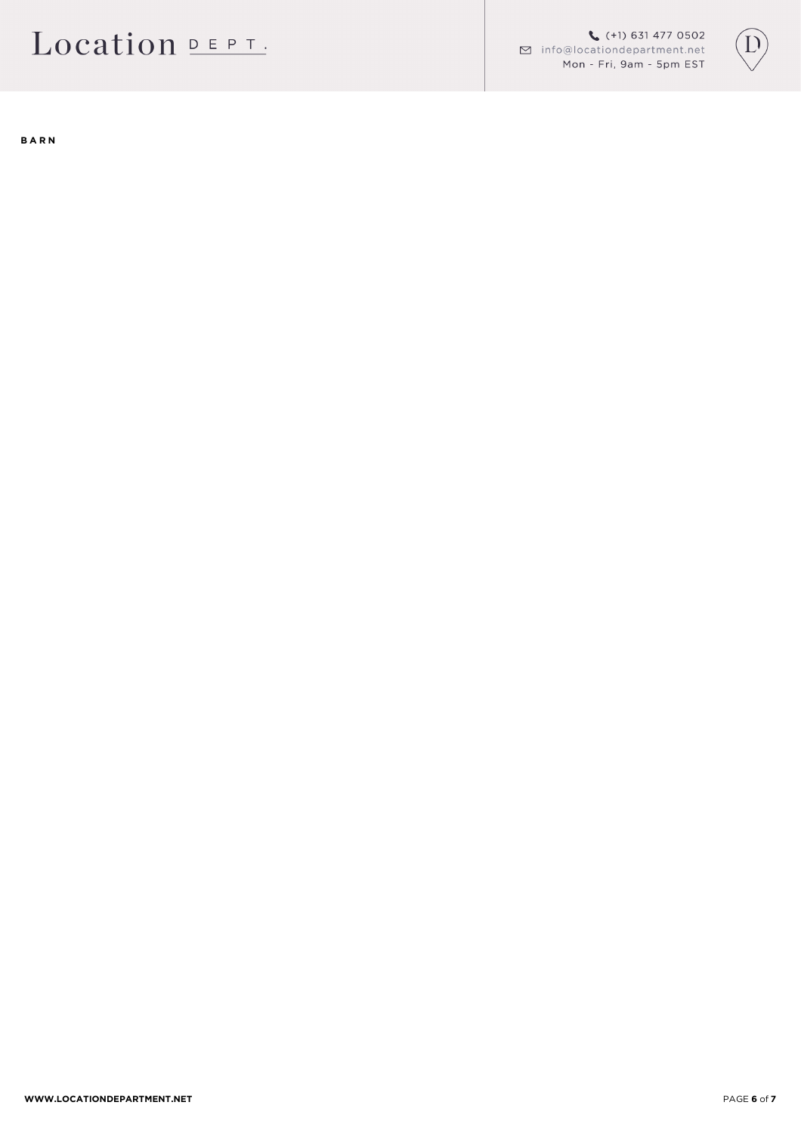$(+) 631 477 0502$ ◘ info@locationdepartment.net Mon - Fri, 9am - 5pm EST



B A R N